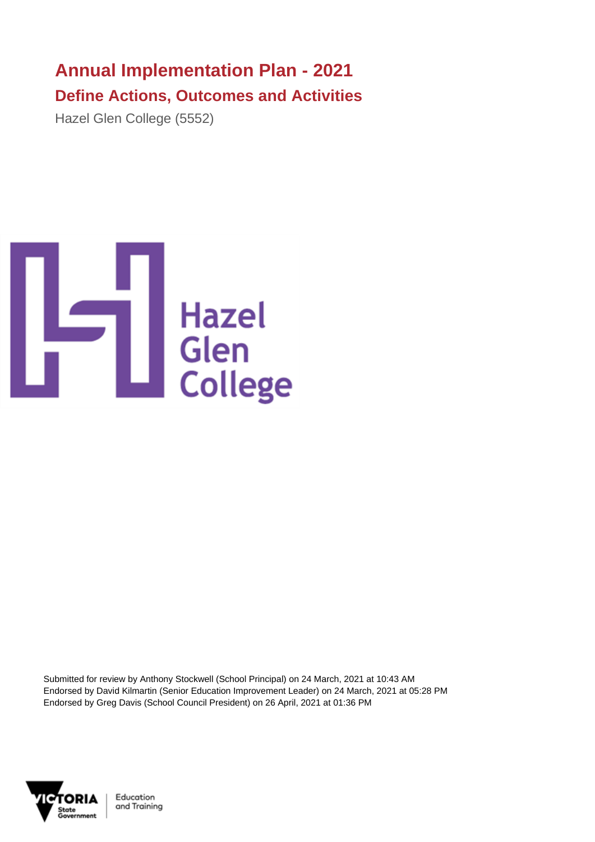## **Annual Implementation Plan - 2021 Define Actions, Outcomes and Activities**

Hazel Glen College (5552)



Submitted for review by Anthony Stockwell (School Principal) on 24 March, 2021 at 10:43 AM Endorsed by David Kilmartin (Senior Education Improvement Leader) on 24 March, 2021 at 05:28 PM Endorsed by Greg Davis (School Council President) on 26 April, 2021 at 01:36 PM



Education and Training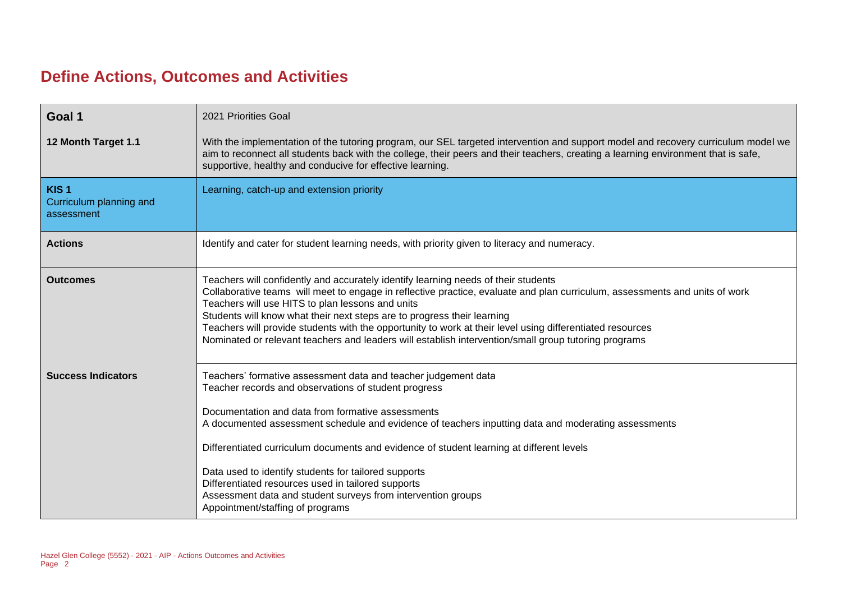## **Define Actions, Outcomes and Activities**

| Goal 1                                                    | 2021 Priorities Goal                                                                                                                                                                                                                                                                                                                                                                                                                                                                                                                                                                             |
|-----------------------------------------------------------|--------------------------------------------------------------------------------------------------------------------------------------------------------------------------------------------------------------------------------------------------------------------------------------------------------------------------------------------------------------------------------------------------------------------------------------------------------------------------------------------------------------------------------------------------------------------------------------------------|
| 12 Month Target 1.1                                       | With the implementation of the tutoring program, our SEL targeted intervention and support model and recovery curriculum model we<br>aim to reconnect all students back with the college, their peers and their teachers, creating a learning environment that is safe,<br>supportive, healthy and conducive for effective learning.                                                                                                                                                                                                                                                             |
| KIS <sub>1</sub><br>Curriculum planning and<br>assessment | Learning, catch-up and extension priority                                                                                                                                                                                                                                                                                                                                                                                                                                                                                                                                                        |
| <b>Actions</b>                                            | Identify and cater for student learning needs, with priority given to literacy and numeracy.                                                                                                                                                                                                                                                                                                                                                                                                                                                                                                     |
| <b>Outcomes</b>                                           | Teachers will confidently and accurately identify learning needs of their students<br>Collaborative teams will meet to engage in reflective practice, evaluate and plan curriculum, assessments and units of work<br>Teachers will use HITS to plan lessons and units<br>Students will know what their next steps are to progress their learning<br>Teachers will provide students with the opportunity to work at their level using differentiated resources<br>Nominated or relevant teachers and leaders will establish intervention/small group tutoring programs                            |
| <b>Success Indicators</b>                                 | Teachers' formative assessment data and teacher judgement data<br>Teacher records and observations of student progress<br>Documentation and data from formative assessments<br>A documented assessment schedule and evidence of teachers inputting data and moderating assessments<br>Differentiated curriculum documents and evidence of student learning at different levels<br>Data used to identify students for tailored supports<br>Differentiated resources used in tailored supports<br>Assessment data and student surveys from intervention groups<br>Appointment/staffing of programs |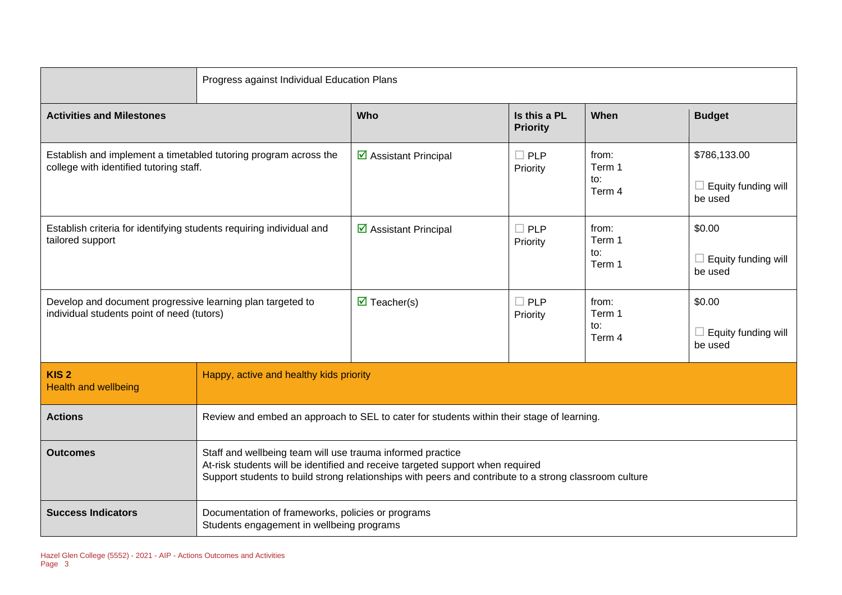|                                                                                                             | Progress against Individual Education Plans                                                                                                                                                                                                            |                                                                                           |                                 |                                  |                                                |
|-------------------------------------------------------------------------------------------------------------|--------------------------------------------------------------------------------------------------------------------------------------------------------------------------------------------------------------------------------------------------------|-------------------------------------------------------------------------------------------|---------------------------------|----------------------------------|------------------------------------------------|
| <b>Activities and Milestones</b>                                                                            |                                                                                                                                                                                                                                                        | <b>Who</b>                                                                                | Is this a PL<br><b>Priority</b> | When                             | <b>Budget</b>                                  |
| Establish and implement a timetabled tutoring program across the<br>college with identified tutoring staff. |                                                                                                                                                                                                                                                        | $\triangleright$ Assistant Principal                                                      | $\Box$ PLP<br>Priority          | from:<br>Term 1<br>to:<br>Term 4 | \$786,133.00<br>Equity funding will<br>be used |
| Establish criteria for identifying students requiring individual and<br>tailored support                    |                                                                                                                                                                                                                                                        | $\overline{\mathbf{y}}$ Assistant Principal                                               | $\Box$ PLP<br>Priority          | from:<br>Term 1<br>to:<br>Term 1 | \$0.00<br>Equity funding will<br>be used       |
| Develop and document progressive learning plan targeted to<br>individual students point of need (tutors)    |                                                                                                                                                                                                                                                        | $\overline{\mathbf{M}}$ Teacher(s)                                                        | $\Box$ PLP<br>Priority          | from:<br>Term 1<br>to:<br>Term 4 | \$0.00<br>Equity funding will<br>be used       |
| KIS <sub>2</sub><br><b>Health and wellbeing</b>                                                             | Happy, active and healthy kids priority                                                                                                                                                                                                                |                                                                                           |                                 |                                  |                                                |
| <b>Actions</b>                                                                                              |                                                                                                                                                                                                                                                        | Review and embed an approach to SEL to cater for students within their stage of learning. |                                 |                                  |                                                |
| <b>Outcomes</b>                                                                                             | Staff and wellbeing team will use trauma informed practice<br>At-risk students will be identified and receive targeted support when required<br>Support students to build strong relationships with peers and contribute to a strong classroom culture |                                                                                           |                                 |                                  |                                                |
| <b>Success Indicators</b>                                                                                   | Documentation of frameworks, policies or programs<br>Students engagement in wellbeing programs                                                                                                                                                         |                                                                                           |                                 |                                  |                                                |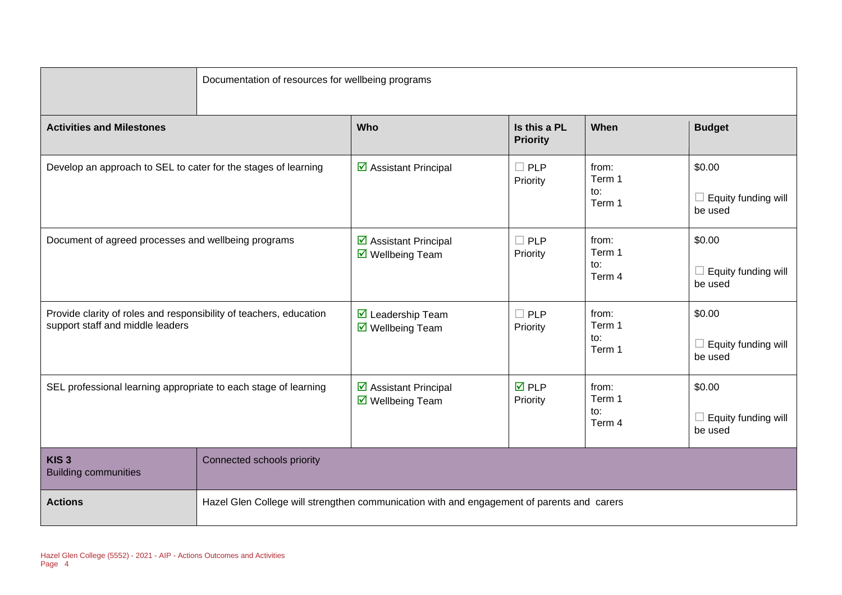|                                                                                                        | Documentation of resources for wellbeing programs |                                                                                            |                                 |                                  |                                                 |  |
|--------------------------------------------------------------------------------------------------------|---------------------------------------------------|--------------------------------------------------------------------------------------------|---------------------------------|----------------------------------|-------------------------------------------------|--|
| <b>Activities and Milestones</b>                                                                       |                                                   | Who                                                                                        | Is this a PL<br><b>Priority</b> | When                             | <b>Budget</b>                                   |  |
| Develop an approach to SEL to cater for the stages of learning                                         |                                                   | ☑ Assistant Principal                                                                      | $\square$ PLP<br>Priority       | from:<br>Term 1<br>to:<br>Term 1 | \$0.00<br>$\Box$ Equity funding will<br>be used |  |
| Document of agreed processes and wellbeing programs                                                    |                                                   | ☑ Assistant Principal<br>☑ Wellbeing Team                                                  | $\Box$ PLP<br>Priority          | from:<br>Term 1<br>to:<br>Term 4 | \$0.00<br>Equity funding will<br>H<br>be used   |  |
| Provide clarity of roles and responsibility of teachers, education<br>support staff and middle leaders |                                                   | ■ Leadership Team<br>$\overline{\mathbf{M}}$ Wellbeing Team                                | $\Box$ PLP<br>Priority          | from:<br>Term 1<br>to:<br>Term 1 | \$0.00<br>$\Box$ Equity funding will<br>be used |  |
| SEL professional learning appropriate to each stage of learning                                        |                                                   | ☑ Assistant Principal<br>$\overline{\mathbf{M}}$ Wellbeing Team                            | $\overline{M}$ PLP<br>Priority  | from:<br>Term 1<br>to:<br>Term 4 | \$0.00<br>$\Box$ Equity funding will<br>be used |  |
| KIS <sub>3</sub><br><b>Building communities</b>                                                        | Connected schools priority                        |                                                                                            |                                 |                                  |                                                 |  |
| <b>Actions</b>                                                                                         |                                                   | Hazel Glen College will strengthen communication with and engagement of parents and carers |                                 |                                  |                                                 |  |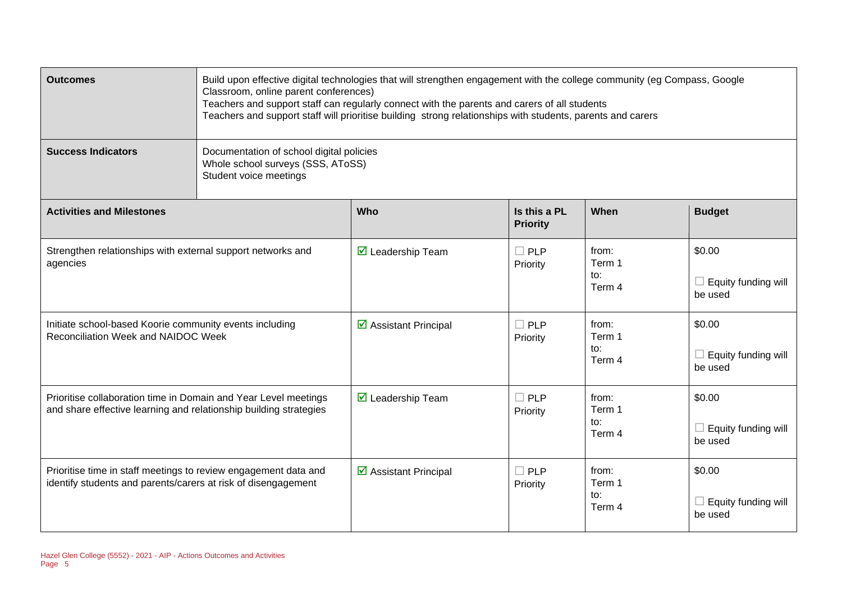| <b>Outcomes</b>                                                                                                                      | Build upon effective digital technologies that will strengthen engagement with the college community (eg Compass, Google<br>Classroom, online parent conferences)<br>Teachers and support staff can regularly connect with the parents and carers of all students<br>Teachers and support staff will prioritise building strong relationships with students, parents and carers |                                      |                                 |                                  |                                                 |  |
|--------------------------------------------------------------------------------------------------------------------------------------|---------------------------------------------------------------------------------------------------------------------------------------------------------------------------------------------------------------------------------------------------------------------------------------------------------------------------------------------------------------------------------|--------------------------------------|---------------------------------|----------------------------------|-------------------------------------------------|--|
| <b>Success Indicators</b>                                                                                                            | Documentation of school digital policies<br>Whole school surveys (SSS, AToSS)<br>Student voice meetings                                                                                                                                                                                                                                                                         |                                      |                                 |                                  |                                                 |  |
| <b>Activities and Milestones</b>                                                                                                     |                                                                                                                                                                                                                                                                                                                                                                                 | Who                                  | Is this a PL<br><b>Priority</b> | When                             | <b>Budget</b>                                   |  |
| Strengthen relationships with external support networks and<br>agencies                                                              |                                                                                                                                                                                                                                                                                                                                                                                 | $\triangleright$ Leadership Team     | $\Box$ PLP<br>Priority          | from:<br>Term 1<br>to:<br>Term 4 | \$0.00<br>$\Box$ Equity funding will<br>be used |  |
| Initiate school-based Koorie community events including<br>Reconciliation Week and NAIDOC Week                                       |                                                                                                                                                                                                                                                                                                                                                                                 | $\triangleright$ Assistant Principal | $\Box$ PLP<br>Priority          | from:<br>Term 1<br>to:<br>Term 4 | \$0.00<br>$\Box$ Equity funding will<br>be used |  |
| Prioritise collaboration time in Domain and Year Level meetings<br>and share effective learning and relationship building strategies |                                                                                                                                                                                                                                                                                                                                                                                 | ■ Leadership Team                    | $\Box$ PLP<br>Priority          | from:<br>Term 1<br>to:<br>Term 4 | \$0.00<br>$\Box$ Equity funding will<br>be used |  |
| Prioritise time in staff meetings to review engagement data and<br>identify students and parents/carers at risk of disengagement     |                                                                                                                                                                                                                                                                                                                                                                                 | $\triangleright$ Assistant Principal | $\Box$ PLP<br>Priority          | from:<br>Term 1<br>to:<br>Term 4 | \$0.00<br>$\Box$ Equity funding will<br>be used |  |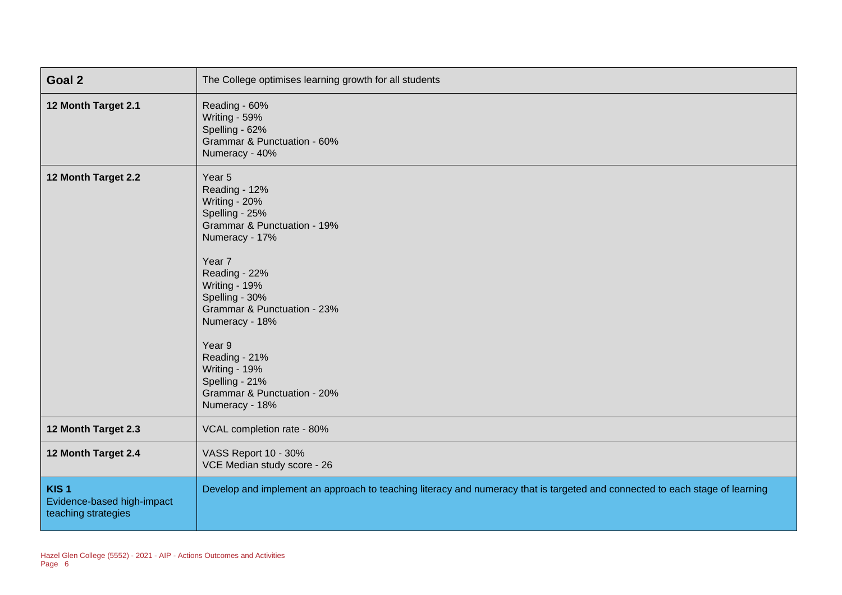| Goal 2                                                                | The College optimises learning growth for all students                                                                                                                                                                                                                                                                                    |
|-----------------------------------------------------------------------|-------------------------------------------------------------------------------------------------------------------------------------------------------------------------------------------------------------------------------------------------------------------------------------------------------------------------------------------|
| 12 Month Target 2.1                                                   | Reading - 60%<br>Writing - 59%<br>Spelling - 62%<br>Grammar & Punctuation - 60%<br>Numeracy - 40%                                                                                                                                                                                                                                         |
| 12 Month Target 2.2                                                   | Year 5<br>Reading - 12%<br>Writing - 20%<br>Spelling - 25%<br>Grammar & Punctuation - 19%<br>Numeracy - 17%<br>Year 7<br>Reading - 22%<br>Writing - 19%<br>Spelling - 30%<br>Grammar & Punctuation - 23%<br>Numeracy - 18%<br>Year 9<br>Reading - 21%<br>Writing - 19%<br>Spelling - 21%<br>Grammar & Punctuation - 20%<br>Numeracy - 18% |
| 12 Month Target 2.3                                                   | VCAL completion rate - 80%                                                                                                                                                                                                                                                                                                                |
| 12 Month Target 2.4                                                   | VASS Report 10 - 30%<br>VCE Median study score - 26                                                                                                                                                                                                                                                                                       |
| KIS <sub>1</sub><br>Evidence-based high-impact<br>teaching strategies | Develop and implement an approach to teaching literacy and numeracy that is targeted and connected to each stage of learning                                                                                                                                                                                                              |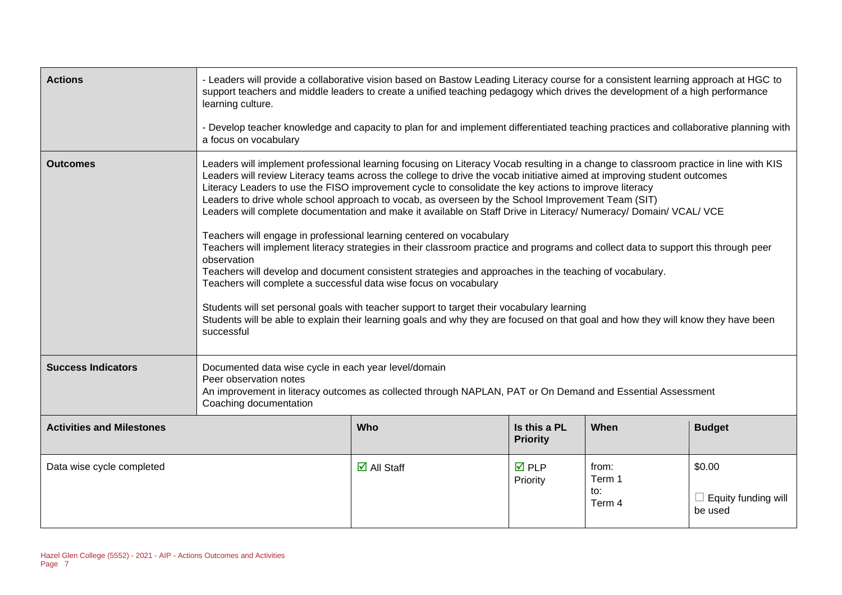| <b>Actions</b>                   | - Leaders will provide a collaborative vision based on Bastow Leading Literacy course for a consistent learning approach at HGC to<br>support teachers and middle leaders to create a unified teaching pedagogy which drives the development of a high performance<br>learning culture.<br>- Develop teacher knowledge and capacity to plan for and implement differentiated teaching practices and collaborative planning with<br>a focus on vocabulary                                                                                                                                                                                                                                                                                                                                                                                                                                                                                                                                                                                                                                                                                                                                                                                                       |                                                                                                            |                                 |                                  |                                                 |  |  |
|----------------------------------|----------------------------------------------------------------------------------------------------------------------------------------------------------------------------------------------------------------------------------------------------------------------------------------------------------------------------------------------------------------------------------------------------------------------------------------------------------------------------------------------------------------------------------------------------------------------------------------------------------------------------------------------------------------------------------------------------------------------------------------------------------------------------------------------------------------------------------------------------------------------------------------------------------------------------------------------------------------------------------------------------------------------------------------------------------------------------------------------------------------------------------------------------------------------------------------------------------------------------------------------------------------|------------------------------------------------------------------------------------------------------------|---------------------------------|----------------------------------|-------------------------------------------------|--|--|
| <b>Outcomes</b>                  | Leaders will implement professional learning focusing on Literacy Vocab resulting in a change to classroom practice in line with KIS<br>Leaders will review Literacy teams across the college to drive the vocab initiative aimed at improving student outcomes<br>Literacy Leaders to use the FISO improvement cycle to consolidate the key actions to improve literacy<br>Leaders to drive whole school approach to vocab, as overseen by the School Improvement Team (SIT)<br>Leaders will complete documentation and make it available on Staff Drive in Literacy/ Numeracy/ Domain/ VCAL/ VCE<br>Teachers will engage in professional learning centered on vocabulary<br>Teachers will implement literacy strategies in their classroom practice and programs and collect data to support this through peer<br>observation<br>Teachers will develop and document consistent strategies and approaches in the teaching of vocabulary.<br>Teachers will complete a successful data wise focus on vocabulary<br>Students will set personal goals with teacher support to target their vocabulary learning<br>Students will be able to explain their learning goals and why they are focused on that goal and how they will know they have been<br>successful |                                                                                                            |                                 |                                  |                                                 |  |  |
| <b>Success Indicators</b>        | Documented data wise cycle in each year level/domain<br>Peer observation notes<br>Coaching documentation                                                                                                                                                                                                                                                                                                                                                                                                                                                                                                                                                                                                                                                                                                                                                                                                                                                                                                                                                                                                                                                                                                                                                       | An improvement in literacy outcomes as collected through NAPLAN, PAT or On Demand and Essential Assessment |                                 |                                  |                                                 |  |  |
| <b>Activities and Milestones</b> |                                                                                                                                                                                                                                                                                                                                                                                                                                                                                                                                                                                                                                                                                                                                                                                                                                                                                                                                                                                                                                                                                                                                                                                                                                                                | <b>Who</b>                                                                                                 | Is this a PL<br><b>Priority</b> | When                             | <b>Budget</b>                                   |  |  |
| Data wise cycle completed        |                                                                                                                                                                                                                                                                                                                                                                                                                                                                                                                                                                                                                                                                                                                                                                                                                                                                                                                                                                                                                                                                                                                                                                                                                                                                | $\overline{\mathbf{M}}$ All Staff                                                                          | $\overline{M}$ PLP<br>Priority  | from:<br>Term 1<br>to:<br>Term 4 | \$0.00<br>$\Box$ Equity funding will<br>be used |  |  |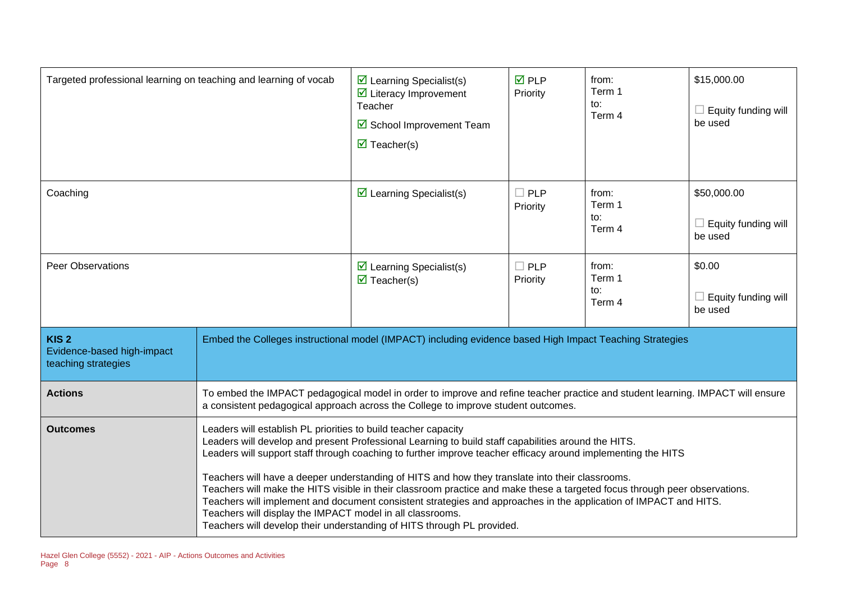| Targeted professional learning on teaching and learning of vocab      |                                                                                                                                                                                                                                                                                                                                                                                                                                                                                                                                                                                                                                                                                                                                                                                                                                                                        | $\triangleright$ Learning Specialist(s)<br>$\overline{\mathbf{y}}$ Literacy Improvement<br>Teacher<br>☑ School Improvement Team<br>$\overline{\mathbf{M}}$ Teacher(s) | <b>☑</b> PLP<br>Priority  | from:<br>Term 1<br>to:<br>Term 4 | \$15,000.00<br>$\Box$ Equity funding will<br>be used |
|-----------------------------------------------------------------------|------------------------------------------------------------------------------------------------------------------------------------------------------------------------------------------------------------------------------------------------------------------------------------------------------------------------------------------------------------------------------------------------------------------------------------------------------------------------------------------------------------------------------------------------------------------------------------------------------------------------------------------------------------------------------------------------------------------------------------------------------------------------------------------------------------------------------------------------------------------------|-----------------------------------------------------------------------------------------------------------------------------------------------------------------------|---------------------------|----------------------------------|------------------------------------------------------|
| Coaching                                                              |                                                                                                                                                                                                                                                                                                                                                                                                                                                                                                                                                                                                                                                                                                                                                                                                                                                                        | $\triangleright$ Learning Specialist(s)                                                                                                                               | $\square$ PLP<br>Priority | from:<br>Term 1<br>to:<br>Term 4 | \$50,000.00<br>$\Box$ Equity funding will<br>be used |
| <b>Peer Observations</b>                                              |                                                                                                                                                                                                                                                                                                                                                                                                                                                                                                                                                                                                                                                                                                                                                                                                                                                                        | $\triangleright$ Learning Specialist(s)<br>$\overline{\mathbf{M}}$ Teacher(s)                                                                                         | $\Box$ PLP<br>Priority    | from:<br>Term 1<br>to:<br>Term 4 | \$0.00<br>$\Box$ Equity funding will<br>be used      |
| KIS <sub>2</sub><br>Evidence-based high-impact<br>teaching strategies |                                                                                                                                                                                                                                                                                                                                                                                                                                                                                                                                                                                                                                                                                                                                                                                                                                                                        | Embed the Colleges instructional model (IMPACT) including evidence based High Impact Teaching Strategies                                                              |                           |                                  |                                                      |
| <b>Actions</b>                                                        |                                                                                                                                                                                                                                                                                                                                                                                                                                                                                                                                                                                                                                                                                                                                                                                                                                                                        | To embed the IMPACT pedagogical model in order to improve and refine teacher practice and student learning. IMPACT will ensure                                        |                           |                                  |                                                      |
| <b>Outcomes</b>                                                       | a consistent pedagogical approach across the College to improve student outcomes.<br>Leaders will establish PL priorities to build teacher capacity<br>Leaders will develop and present Professional Learning to build staff capabilities around the HITS.<br>Leaders will support staff through coaching to further improve teacher efficacy around implementing the HITS<br>Teachers will have a deeper understanding of HITS and how they translate into their classrooms.<br>Teachers will make the HITS visible in their classroom practice and make these a targeted focus through peer observations.<br>Teachers will implement and document consistent strategies and approaches in the application of IMPACT and HITS.<br>Teachers will display the IMPACT model in all classrooms.<br>Teachers will develop their understanding of HITS through PL provided. |                                                                                                                                                                       |                           |                                  |                                                      |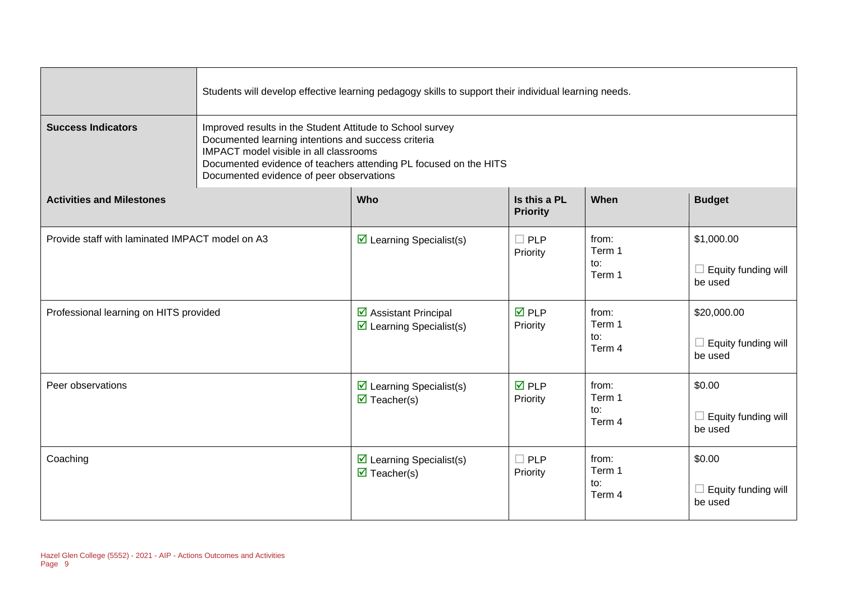|                                                 | Students will develop effective learning pedagogy skills to support their individual learning needs.                                                                                                                                                                              |                                                                               |                                 |                                  |                                               |  |
|-------------------------------------------------|-----------------------------------------------------------------------------------------------------------------------------------------------------------------------------------------------------------------------------------------------------------------------------------|-------------------------------------------------------------------------------|---------------------------------|----------------------------------|-----------------------------------------------|--|
| <b>Success Indicators</b>                       | Improved results in the Student Attitude to School survey<br>Documented learning intentions and success criteria<br><b>IMPACT</b> model visible in all classrooms<br>Documented evidence of teachers attending PL focused on the HITS<br>Documented evidence of peer observations |                                                                               |                                 |                                  |                                               |  |
| <b>Activities and Milestones</b>                |                                                                                                                                                                                                                                                                                   | Who                                                                           | Is this a PL<br><b>Priority</b> | When                             | <b>Budget</b>                                 |  |
| Provide staff with laminated IMPACT model on A3 |                                                                                                                                                                                                                                                                                   | $\triangleright$ Learning Specialist(s)                                       | $\Box$ PLP<br>Priority          | from:<br>Term 1<br>to:<br>Term 1 | \$1,000.00<br>Equity funding will<br>be used  |  |
| Professional learning on HITS provided          |                                                                                                                                                                                                                                                                                   | ☑ Assistant Principal<br>$\triangleright$ Learning Specialist(s)              | $\overline{M}$ PLP<br>Priority  | from:<br>Term 1<br>to:<br>Term 4 | \$20,000.00<br>Equity funding will<br>be used |  |
| Peer observations                               |                                                                                                                                                                                                                                                                                   | $\triangleright$ Learning Specialist(s)<br>$\overline{\mathbf{M}}$ Teacher(s) | $\overline{M}$ PLP<br>Priority  | from:<br>Term 1<br>to:<br>Term 4 | \$0.00<br>Equity funding will<br>be used      |  |
| Coaching                                        |                                                                                                                                                                                                                                                                                   | $\triangleright$ Learning Specialist(s)<br>$\overline{\mathbf{M}}$ Teacher(s) | $\Box$ PLP<br>Priority          | from:<br>Term 1<br>to:<br>Term 4 | \$0.00<br>Equity funding will<br>be used      |  |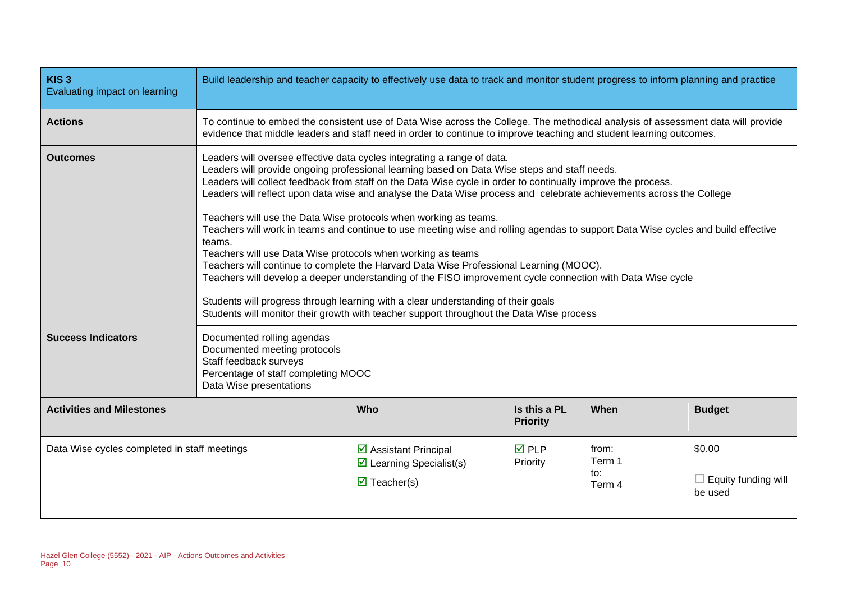| KIS <sub>3</sub><br>Evaluating impact on learning | Build leadership and teacher capacity to effectively use data to track and monitor student progress to inform planning and practice                                                                                                                                                                                                                                                                                                                                                                                                                                                                                                                                                                                                                                                                                                                                                                                                                                                                                                                                                      |                                                                                                                                                                                                                                                         |                                 |                                  |                                                 |  |
|---------------------------------------------------|------------------------------------------------------------------------------------------------------------------------------------------------------------------------------------------------------------------------------------------------------------------------------------------------------------------------------------------------------------------------------------------------------------------------------------------------------------------------------------------------------------------------------------------------------------------------------------------------------------------------------------------------------------------------------------------------------------------------------------------------------------------------------------------------------------------------------------------------------------------------------------------------------------------------------------------------------------------------------------------------------------------------------------------------------------------------------------------|---------------------------------------------------------------------------------------------------------------------------------------------------------------------------------------------------------------------------------------------------------|---------------------------------|----------------------------------|-------------------------------------------------|--|
| <b>Actions</b>                                    |                                                                                                                                                                                                                                                                                                                                                                                                                                                                                                                                                                                                                                                                                                                                                                                                                                                                                                                                                                                                                                                                                          | To continue to embed the consistent use of Data Wise across the College. The methodical analysis of assessment data will provide<br>evidence that middle leaders and staff need in order to continue to improve teaching and student learning outcomes. |                                 |                                  |                                                 |  |
| <b>Outcomes</b>                                   | Leaders will oversee effective data cycles integrating a range of data.<br>Leaders will provide ongoing professional learning based on Data Wise steps and staff needs.<br>Leaders will collect feedback from staff on the Data Wise cycle in order to continually improve the process.<br>Leaders will reflect upon data wise and analyse the Data Wise process and celebrate achievements across the College<br>Teachers will use the Data Wise protocols when working as teams.<br>Teachers will work in teams and continue to use meeting wise and rolling agendas to support Data Wise cycles and build effective<br>teams.<br>Teachers will use Data Wise protocols when working as teams<br>Teachers will continue to complete the Harvard Data Wise Professional Learning (MOOC).<br>Teachers will develop a deeper understanding of the FISO improvement cycle connection with Data Wise cycle<br>Students will progress through learning with a clear understanding of their goals<br>Students will monitor their growth with teacher support throughout the Data Wise process |                                                                                                                                                                                                                                                         |                                 |                                  |                                                 |  |
| <b>Success Indicators</b>                         | Documented rolling agendas<br>Documented meeting protocols<br>Staff feedback surveys<br>Percentage of staff completing MOOC<br>Data Wise presentations                                                                                                                                                                                                                                                                                                                                                                                                                                                                                                                                                                                                                                                                                                                                                                                                                                                                                                                                   |                                                                                                                                                                                                                                                         |                                 |                                  |                                                 |  |
| <b>Activities and Milestones</b>                  |                                                                                                                                                                                                                                                                                                                                                                                                                                                                                                                                                                                                                                                                                                                                                                                                                                                                                                                                                                                                                                                                                          | Who                                                                                                                                                                                                                                                     | Is this a PL<br><b>Priority</b> | When                             | <b>Budget</b>                                   |  |
| Data Wise cycles completed in staff meetings      |                                                                                                                                                                                                                                                                                                                                                                                                                                                                                                                                                                                                                                                                                                                                                                                                                                                                                                                                                                                                                                                                                          | $\triangleright$ Assistant Principal<br>$\triangleright$ Learning Specialist(s)<br>$\overline{\mathbf{M}}$ Teacher(s)                                                                                                                                   | $\overline{M}$ PLP<br>Priority  | from:<br>Term 1<br>to:<br>Term 4 | \$0.00<br>$\Box$ Equity funding will<br>be used |  |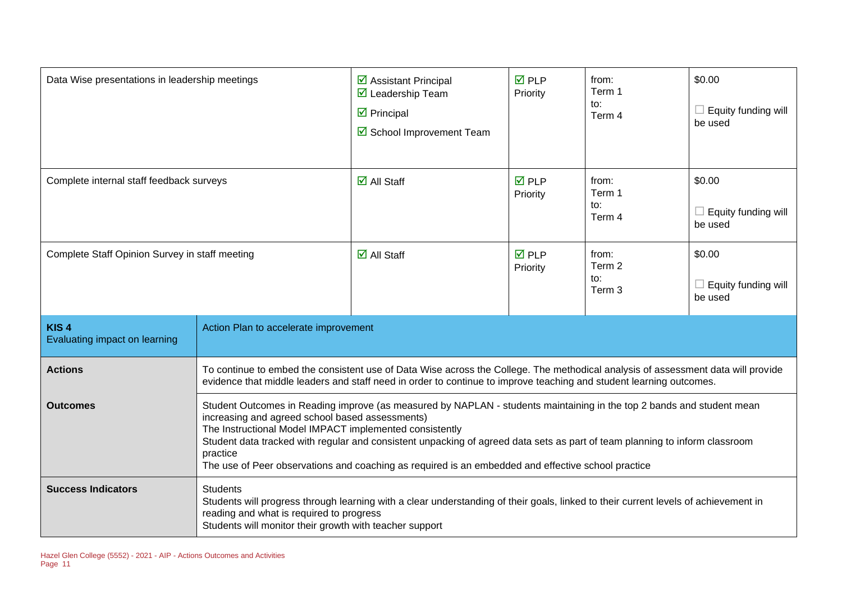| Data Wise presentations in leadership meetings    |                                                                                                                                                                                                                                                                                                                                                                                                                                                                                      | $\triangleright$ Assistant Principal<br>$\triangledown$ Leadership Team<br>$\overline{\mathbf{y}}$ Principal<br>☑ School Improvement Team                                                                                                               | $\overline{M}$ PLP<br>Priority | from:<br>Term 1<br>to:<br>Term 4            | \$0.00<br>$\Box$ Equity funding will<br>be used |
|---------------------------------------------------|--------------------------------------------------------------------------------------------------------------------------------------------------------------------------------------------------------------------------------------------------------------------------------------------------------------------------------------------------------------------------------------------------------------------------------------------------------------------------------------|---------------------------------------------------------------------------------------------------------------------------------------------------------------------------------------------------------------------------------------------------------|--------------------------------|---------------------------------------------|-------------------------------------------------|
| Complete internal staff feedback surveys          |                                                                                                                                                                                                                                                                                                                                                                                                                                                                                      | $\overline{\mathbf{M}}$ All Staff                                                                                                                                                                                                                       | $\overline{M}$ PLP<br>Priority | from:<br>Term 1<br>to:<br>Term 4            | \$0.00<br>$\Box$ Equity funding will<br>be used |
| Complete Staff Opinion Survey in staff meeting    |                                                                                                                                                                                                                                                                                                                                                                                                                                                                                      | $\overline{\mathbf{M}}$ All Staff                                                                                                                                                                                                                       | $\overline{M}$ PLP<br>Priority | from:<br>Term 2<br>to:<br>Term <sub>3</sub> | \$0.00<br>Equity funding will<br>be used        |
| KIS <sub>4</sub><br>Evaluating impact on learning | Action Plan to accelerate improvement                                                                                                                                                                                                                                                                                                                                                                                                                                                |                                                                                                                                                                                                                                                         |                                |                                             |                                                 |
| <b>Actions</b>                                    |                                                                                                                                                                                                                                                                                                                                                                                                                                                                                      | To continue to embed the consistent use of Data Wise across the College. The methodical analysis of assessment data will provide<br>evidence that middle leaders and staff need in order to continue to improve teaching and student learning outcomes. |                                |                                             |                                                 |
| <b>Outcomes</b>                                   | Student Outcomes in Reading improve (as measured by NAPLAN - students maintaining in the top 2 bands and student mean<br>increasing and agreed school based assessments)<br>The Instructional Model IMPACT implemented consistently<br>Student data tracked with regular and consistent unpacking of agreed data sets as part of team planning to inform classroom<br>practice<br>The use of Peer observations and coaching as required is an embedded and effective school practice |                                                                                                                                                                                                                                                         |                                |                                             |                                                 |
| <b>Success Indicators</b>                         | <b>Students</b>                                                                                                                                                                                                                                                                                                                                                                                                                                                                      | Students will progress through learning with a clear understanding of their goals, linked to their current levels of achievement in<br>reading and what is required to progress<br>Students will monitor their growth with teacher support              |                                |                                             |                                                 |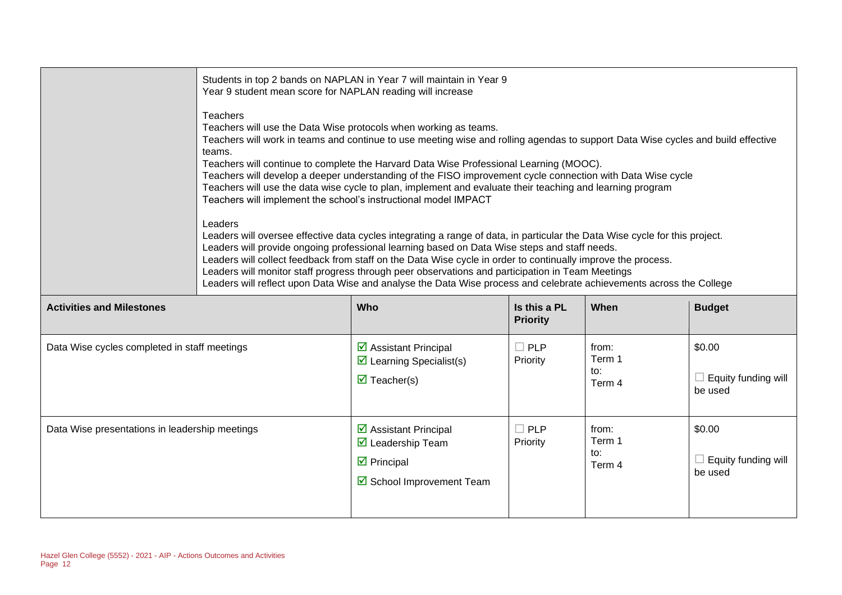|                                              | Students in top 2 bands on NAPLAN in Year 7 will maintain in Year 9<br>Year 9 student mean score for NAPLAN reading will increase                                                                                                                                                                                                                                                                                                                                                                                                                                                                                                                                                                                                                                                                                                                                                                                                                                                                                                                                                                                                                                                                              |                                                                                                                              |                                 |                                  |                                                 |  |
|----------------------------------------------|----------------------------------------------------------------------------------------------------------------------------------------------------------------------------------------------------------------------------------------------------------------------------------------------------------------------------------------------------------------------------------------------------------------------------------------------------------------------------------------------------------------------------------------------------------------------------------------------------------------------------------------------------------------------------------------------------------------------------------------------------------------------------------------------------------------------------------------------------------------------------------------------------------------------------------------------------------------------------------------------------------------------------------------------------------------------------------------------------------------------------------------------------------------------------------------------------------------|------------------------------------------------------------------------------------------------------------------------------|---------------------------------|----------------------------------|-------------------------------------------------|--|
|                                              | <b>Teachers</b><br>Teachers will use the Data Wise protocols when working as teams.<br>Teachers will work in teams and continue to use meeting wise and rolling agendas to support Data Wise cycles and build effective<br>teams.<br>Teachers will continue to complete the Harvard Data Wise Professional Learning (MOOC).<br>Teachers will develop a deeper understanding of the FISO improvement cycle connection with Data Wise cycle<br>Teachers will use the data wise cycle to plan, implement and evaluate their teaching and learning program<br>Teachers will implement the school's instructional model IMPACT<br>Leaders<br>Leaders will oversee effective data cycles integrating a range of data, in particular the Data Wise cycle for this project.<br>Leaders will provide ongoing professional learning based on Data Wise steps and staff needs.<br>Leaders will collect feedback from staff on the Data Wise cycle in order to continually improve the process.<br>Leaders will monitor staff progress through peer observations and participation in Team Meetings<br>Leaders will reflect upon Data Wise and analyse the Data Wise process and celebrate achievements across the College |                                                                                                                              |                                 |                                  |                                                 |  |
|                                              |                                                                                                                                                                                                                                                                                                                                                                                                                                                                                                                                                                                                                                                                                                                                                                                                                                                                                                                                                                                                                                                                                                                                                                                                                |                                                                                                                              |                                 |                                  |                                                 |  |
|                                              |                                                                                                                                                                                                                                                                                                                                                                                                                                                                                                                                                                                                                                                                                                                                                                                                                                                                                                                                                                                                                                                                                                                                                                                                                |                                                                                                                              |                                 |                                  |                                                 |  |
| <b>Activities and Milestones</b>             |                                                                                                                                                                                                                                                                                                                                                                                                                                                                                                                                                                                                                                                                                                                                                                                                                                                                                                                                                                                                                                                                                                                                                                                                                | Who                                                                                                                          | Is this a PL<br><b>Priority</b> | When                             | <b>Budget</b>                                   |  |
| Data Wise cycles completed in staff meetings |                                                                                                                                                                                                                                                                                                                                                                                                                                                                                                                                                                                                                                                                                                                                                                                                                                                                                                                                                                                                                                                                                                                                                                                                                | $\overline{\mathbf{2}}$ Assistant Principal<br>$\triangleright$ Learning Specialist(s)<br>$\overline{\mathbf{M}}$ Teacher(s) | $\Box$ PLP<br>Priority          | from:<br>Term 1<br>to:<br>Term 4 | \$0.00<br>$\Box$ Equity funding will<br>be used |  |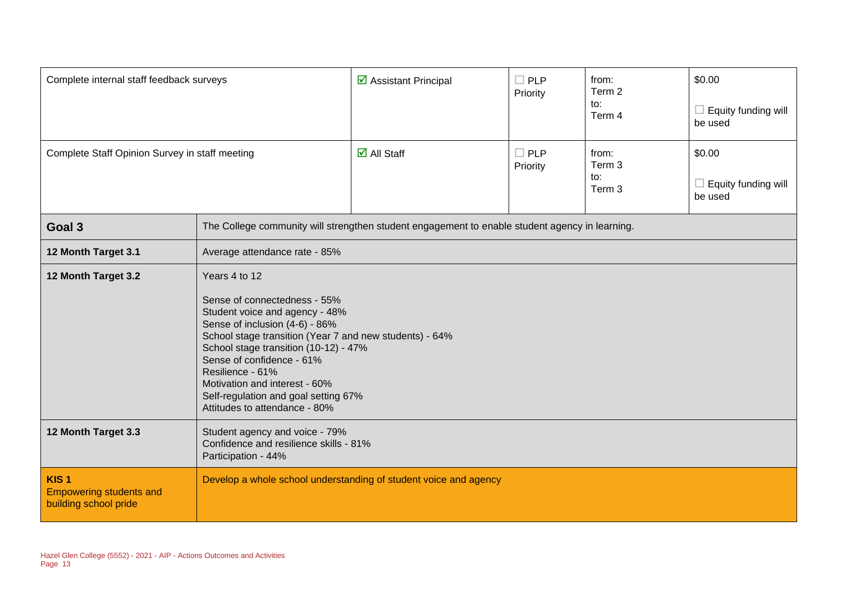| Complete internal staff feedback surveys                                    |                                                                                                                                                                                                                                                                                                                                                                                  | $\triangleright$ Assistant Principal                                                           | $\Box$ PLP<br>Priority | from:<br>Term 2<br>to:<br>Term 4 | \$0.00<br>Equity funding will<br>be used |
|-----------------------------------------------------------------------------|----------------------------------------------------------------------------------------------------------------------------------------------------------------------------------------------------------------------------------------------------------------------------------------------------------------------------------------------------------------------------------|------------------------------------------------------------------------------------------------|------------------------|----------------------------------|------------------------------------------|
| Complete Staff Opinion Survey in staff meeting                              |                                                                                                                                                                                                                                                                                                                                                                                  | $\overline{\mathbf{M}}$ All Staff                                                              | $\Box$ PLP<br>Priority | from:<br>Term 3<br>to:<br>Term 3 | \$0.00<br>Equity funding will<br>be used |
| Goal 3                                                                      |                                                                                                                                                                                                                                                                                                                                                                                  | The College community will strengthen student engagement to enable student agency in learning. |                        |                                  |                                          |
| 12 Month Target 3.1                                                         | Average attendance rate - 85%                                                                                                                                                                                                                                                                                                                                                    |                                                                                                |                        |                                  |                                          |
| 12 Month Target 3.2                                                         | Years 4 to 12<br>Sense of connectedness - 55%<br>Student voice and agency - 48%<br>Sense of inclusion (4-6) - 86%<br>School stage transition (Year 7 and new students) - 64%<br>School stage transition (10-12) - 47%<br>Sense of confidence - 61%<br>Resilience - 61%<br>Motivation and interest - 60%<br>Self-regulation and goal setting 67%<br>Attitudes to attendance - 80% |                                                                                                |                        |                                  |                                          |
| 12 Month Target 3.3                                                         | Student agency and voice - 79%<br>Confidence and resilience skills - 81%<br>Participation - 44%                                                                                                                                                                                                                                                                                  |                                                                                                |                        |                                  |                                          |
| KIS <sub>1</sub><br><b>Empowering students and</b><br>building school pride |                                                                                                                                                                                                                                                                                                                                                                                  | Develop a whole school understanding of student voice and agency                               |                        |                                  |                                          |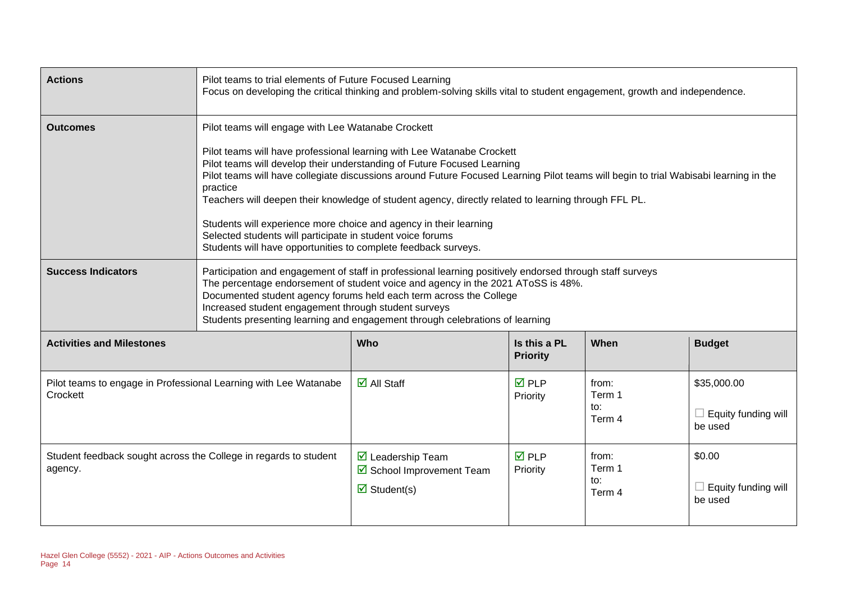| <b>Actions</b>                                                               | Pilot teams to trial elements of Future Focused Learning<br>Focus on developing the critical thinking and problem-solving skills vital to student engagement, growth and independence.                                                                                                                                                                                                                                                                                                                                                                                                                                                                                   |                                                                                                    |                                 |                                  |                                                      |
|------------------------------------------------------------------------------|--------------------------------------------------------------------------------------------------------------------------------------------------------------------------------------------------------------------------------------------------------------------------------------------------------------------------------------------------------------------------------------------------------------------------------------------------------------------------------------------------------------------------------------------------------------------------------------------------------------------------------------------------------------------------|----------------------------------------------------------------------------------------------------|---------------------------------|----------------------------------|------------------------------------------------------|
| <b>Outcomes</b>                                                              | Pilot teams will engage with Lee Watanabe Crockett<br>Pilot teams will have professional learning with Lee Watanabe Crockett<br>Pilot teams will develop their understanding of Future Focused Learning<br>Pilot teams will have collegiate discussions around Future Focused Learning Pilot teams will begin to trial Wabisabi learning in the<br>practice<br>Teachers will deepen their knowledge of student agency, directly related to learning through FFL PL.<br>Students will experience more choice and agency in their learning<br>Selected students will participate in student voice forums<br>Students will have opportunities to complete feedback surveys. |                                                                                                    |                                 |                                  |                                                      |
| <b>Success Indicators</b>                                                    | Participation and engagement of staff in professional learning positively endorsed through staff surveys<br>The percentage endorsement of student voice and agency in the 2021 AToSS is 48%.<br>Documented student agency forums held each term across the College<br>Increased student engagement through student surveys<br>Students presenting learning and engagement through celebrations of learning                                                                                                                                                                                                                                                               |                                                                                                    |                                 |                                  |                                                      |
| <b>Activities and Milestones</b>                                             |                                                                                                                                                                                                                                                                                                                                                                                                                                                                                                                                                                                                                                                                          | Who                                                                                                | Is this a PL<br><b>Priority</b> | When                             | <b>Budget</b>                                        |
| Pilot teams to engage in Professional Learning with Lee Watanabe<br>Crockett |                                                                                                                                                                                                                                                                                                                                                                                                                                                                                                                                                                                                                                                                          | $\overline{\mathbf{d}}$ All Staff                                                                  | <b>☑</b> PLP<br>Priority        | from:<br>Term 1<br>to:<br>Term 4 | \$35,000.00<br>$\Box$ Equity funding will<br>be used |
| Student feedback sought across the College in regards to student<br>agency.  |                                                                                                                                                                                                                                                                                                                                                                                                                                                                                                                                                                                                                                                                          | $\overline{\mathbf{M}}$ Leadership Team<br>☑ School Improvement Team<br>$\triangledown$ Student(s) | <b>☑</b> PLP<br>Priority        | from:<br>Term 1<br>to:<br>Term 4 | \$0.00<br>$\Box$ Equity funding will<br>be used      |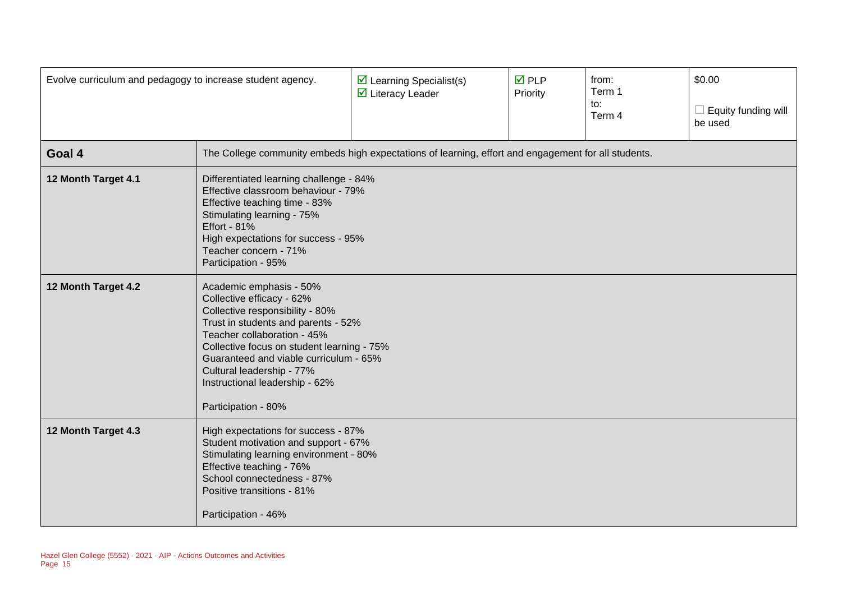| Evolve curriculum and pedagogy to increase student agency. |                                                                                                                                                                                                                                                                                                                                             | $\triangleright$ Learning Specialist(s)<br>$\triangleright$ Literacy Leader | $\overline{M}$ PLP<br>Priority | from:<br>Term 1<br>to:<br>Term 4 | \$0.00<br>Equity funding will<br>be used |
|------------------------------------------------------------|---------------------------------------------------------------------------------------------------------------------------------------------------------------------------------------------------------------------------------------------------------------------------------------------------------------------------------------------|-----------------------------------------------------------------------------|--------------------------------|----------------------------------|------------------------------------------|
| Goal 4                                                     | The College community embeds high expectations of learning, effort and engagement for all students.                                                                                                                                                                                                                                         |                                                                             |                                |                                  |                                          |
| 12 Month Target 4.1                                        | Differentiated learning challenge - 84%<br>Effective classroom behaviour - 79%<br>Effective teaching time - 83%<br>Stimulating learning - 75%<br><b>Effort - 81%</b><br>High expectations for success - 95%<br>Teacher concern - 71%<br>Participation - 95%                                                                                 |                                                                             |                                |                                  |                                          |
| 12 Month Target 4.2                                        | Academic emphasis - 50%<br>Collective efficacy - 62%<br>Collective responsibility - 80%<br>Trust in students and parents - 52%<br>Teacher collaboration - 45%<br>Collective focus on student learning - 75%<br>Guaranteed and viable curriculum - 65%<br>Cultural leadership - 77%<br>Instructional leadership - 62%<br>Participation - 80% |                                                                             |                                |                                  |                                          |
| 12 Month Target 4.3                                        | High expectations for success - 87%<br>Student motivation and support - 67%<br>Stimulating learning environment - 80%<br>Effective teaching - 76%<br>School connectedness - 87%<br>Positive transitions - 81%<br>Participation - 46%                                                                                                        |                                                                             |                                |                                  |                                          |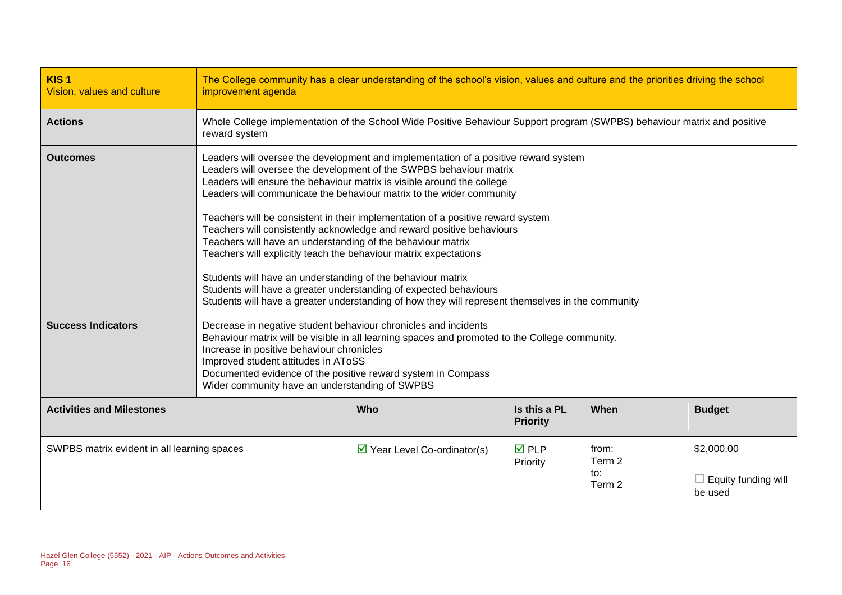| KIS <sub>1</sub><br>Vision, values and culture | The College community has a clear understanding of the school's vision, values and culture and the priorities driving the school<br>improvement agenda                                                                                                                                                                                                                                                                                                                                                                                                                                                                                                                                                                                                                                                                                              |                                             |                                 |                                  |                                              |
|------------------------------------------------|-----------------------------------------------------------------------------------------------------------------------------------------------------------------------------------------------------------------------------------------------------------------------------------------------------------------------------------------------------------------------------------------------------------------------------------------------------------------------------------------------------------------------------------------------------------------------------------------------------------------------------------------------------------------------------------------------------------------------------------------------------------------------------------------------------------------------------------------------------|---------------------------------------------|---------------------------------|----------------------------------|----------------------------------------------|
| <b>Actions</b>                                 | Whole College implementation of the School Wide Positive Behaviour Support program (SWPBS) behaviour matrix and positive<br>reward system                                                                                                                                                                                                                                                                                                                                                                                                                                                                                                                                                                                                                                                                                                           |                                             |                                 |                                  |                                              |
| <b>Outcomes</b>                                | Leaders will oversee the development and implementation of a positive reward system<br>Leaders will oversee the development of the SWPBS behaviour matrix<br>Leaders will ensure the behaviour matrix is visible around the college<br>Leaders will communicate the behaviour matrix to the wider community<br>Teachers will be consistent in their implementation of a positive reward system<br>Teachers will consistently acknowledge and reward positive behaviours<br>Teachers will have an understanding of the behaviour matrix<br>Teachers will explicitly teach the behaviour matrix expectations<br>Students will have an understanding of the behaviour matrix<br>Students will have a greater understanding of expected behaviours<br>Students will have a greater understanding of how they will represent themselves in the community |                                             |                                 |                                  |                                              |
| <b>Success Indicators</b>                      | Decrease in negative student behaviour chronicles and incidents<br>Behaviour matrix will be visible in all learning spaces and promoted to the College community.<br>Increase in positive behaviour chronicles<br>Improved student attitudes in AToSS<br>Documented evidence of the positive reward system in Compass<br>Wider community have an understanding of SWPBS                                                                                                                                                                                                                                                                                                                                                                                                                                                                             |                                             |                                 |                                  |                                              |
| <b>Activities and Milestones</b>               |                                                                                                                                                                                                                                                                                                                                                                                                                                                                                                                                                                                                                                                                                                                                                                                                                                                     | Who                                         | Is this a PL<br><b>Priority</b> | When                             | <b>Budget</b>                                |
| SWPBS matrix evident in all learning spaces    |                                                                                                                                                                                                                                                                                                                                                                                                                                                                                                                                                                                                                                                                                                                                                                                                                                                     | $\triangleright$ Year Level Co-ordinator(s) | $\overline{M}$ PLP<br>Priority  | from:<br>Term 2<br>to:<br>Term 2 | \$2,000.00<br>Equity funding will<br>be used |